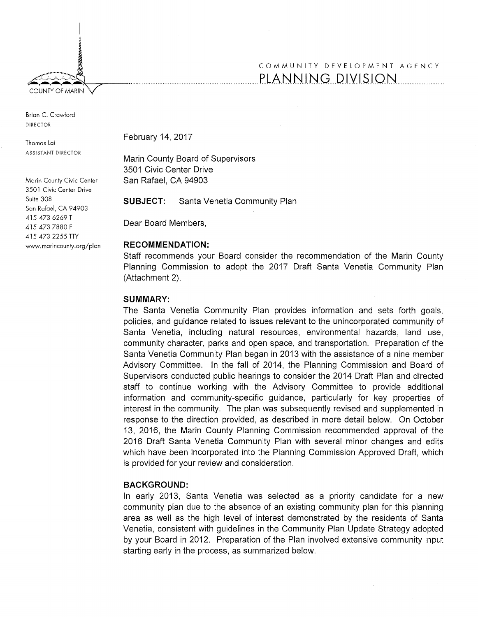*FOUNTY OF MARIN* 

I ! ~

Brian C. Crawford DIRECTOR

Thomas Lai ASSISTANT DIRECTOR

Marin County Civic Center 3501 Civic Center Drive Suite 308 San Rafael, CA 94903 415 473 6269 T 415 473 7880 F 415 473 2255 TTY www.marincounty.org/plan February 14, 2017

Marin County Board of Supervisors 3501 Civic Center Drive San Rafael, CA 94903

**SUBJECT:** Santa Venetia Community Plan

Dear Board Members,

#### **RECOMMENDATION:**

Staff recommends your Board consider the recommendation of the Marin County Planning Commission to adopt the 2017 Draft Santa Venetia Community Plan (Attachment 2).

#### **SUMMARY:**

The Santa Venetia Community Plan provides information and sets forth goals, policies, and guidance related to issues relevant to the unincorporated community of Santa Venetia, including natural resources, environmental hazards, land use, community character, parks and open space, and transportation. Preparation of the Santa Venetia Community Plan began in 2013 with the assistance of a nine member Advisory Committee. In the fall of 2014, the Planning Commission and Board of Supervisors conducted public hearings to consider the 2014 Draft Plan and directed staff to continue working with the Advisory Committee to provide additional information and community-specific guidance, particularly for key properties of interest in the community. The plan was subsequently revised and supplemented in response to the direction provided, as described in more detail below. On October 13, 2016, the Marin County Planning Commission recommended approval of the 2016 Draft Santa Venetia Community Plan with several minor changes and edits which have been incorporated into the Planning Commission Approved Draft, which is provided for your review and consideration.

# **BACKGROUND:**

In early 2013, Santa Venetia was selected as a priority candidate for a new community plan due to the absence of an existing community plan for this planning area as well as the high level of interest demonstrated by the residents of Santa Venetia, consistent with guidelines in the Community Plan Update Strategy adopted by your Board in 2012. Preparation of the Plan involved extensive community input starting early in the process, as summarized below.

# COMMUNITY DEVELOPMENT AGENCY PLANNING DIVISION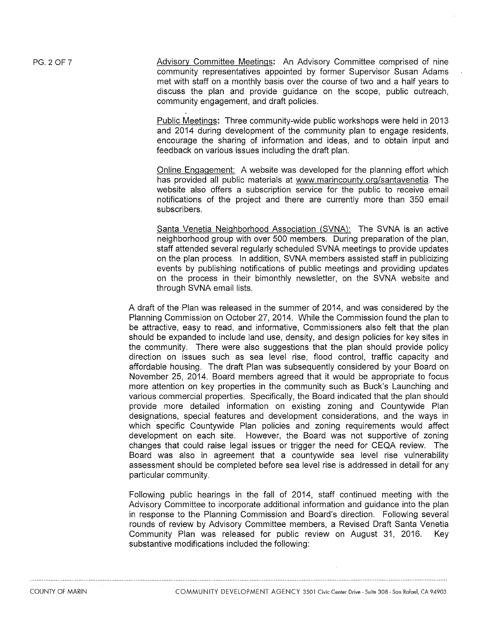Advisory Committee Meetings: An Advisory Committee comprised of nine community representatives appointed by former Supervisor Susan Adams met with staff on a monthly basis over the course of two and a half years to discuss the plan and provide guidance on the scope, public outreach, community engagement, and draft policies.

Public Meetings: Three community-wide public workshops were held in 2013 and 2014 during development of the community plan to engage residents, encourage the sharing of information and ideas, and to obtain input and feedback on various issues including the draft plan.

Online Engagement: A website was developed for the planning effort which has provided all public materials at www.marincounty.org/santavenetia. The website also offers a subscription service for the public to receive email notifications of the project and there are currently more than 350 email subscribers.

Santa Venetia Neighborhood Association (SVNA): The SVNA is an active neighborhood group with over 500 members. During preparation of the plan, staff attended several regularly scheduled SVNA meetings to provide updates on the plan process. In addition, SVNA members assisted staff in publicizing events by publishing notifications of public meetings and providing updates on the process in their bimonthly newsletter, on the SVNA website and through SVNA email lists.

A draft of the Plan was released in the summer of 2014, and was considered by the Planning Commission on October 27, 2014. While the Commission found the plan to be attractive, easy to read, and informative, Commissioners also felt that the plan should be expanded to include land use, density, and design policies for key sites in the community. There were also suggestions that the plan should provide policy direction on issues such as sea level rise, flood control, traffic capacity and affordable housing. The draft Plan was subsequently considered by your Board on November 25, 2014. Board members agreed that it would be appropriate to focus more attention on key properties in the community such as Buck's Launching and various commercial properties. Specifically, the Board indicated that the plan should provide more detailed information on existing zoning and Countywide Plan designations, special features and development considerations, and the ways in which specific Countywide Plan policies and zoning requirements would affect development on each site. However, the Board was not supportive of zoning changes that could raise legal issues or trigger the need for CEQA review. The Board was also in agreement that a countywide sea level rise vulnerability assessment should be completed before sea level rise is addressed in detail for any particular community.

Following public hearings in the fall of 2014, staff continued meeting with the Advisory Committee to incorporate additional information and guidance into the plan in response to the Planning Commission and Board's direction. Following several rounds of review by Advisory Committee members, a Revised Draft Santa Venetia Community Plan was released for public review on August 31, 2016. Key substantive modifications included the following: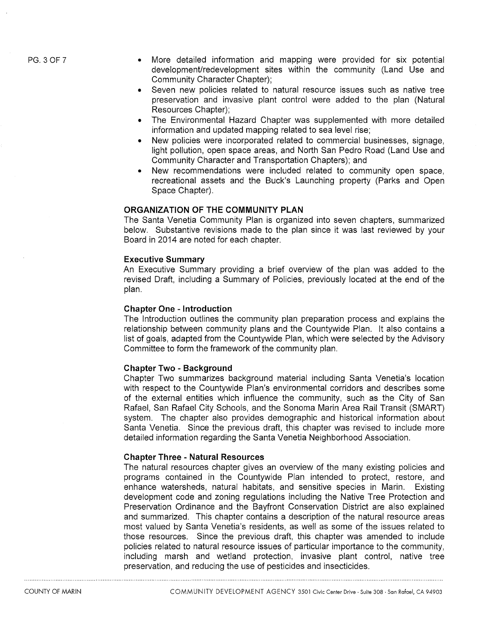PG. 3 OF 7

- More detailed information arid mapping were provided for six potential development/redevelopment sites within the community (Land Use and Community Character Chapter);
- Seven new policies related to natural resource issues such as native tree preservation and invasive plant control were added to the plan (Natural Resources Chapter);
- The Environmental Hazard Chapter was supplemented with more detailed information and updated mapping related to sea level rise;
- New policies were incorporated related to commercial businesses, signage, light pollution, open space areas, and North San Pedro Road (Land Use and Community Character and Transportation Chapters); and
- New recommendations were included related to community open space, recreational assets and the Buck's Launching property (Parks and Open Space Chapter).

### **ORGANIZATION OF THE COMMUNITY PLAN**

The Santa Venetia Community Plan is organized into seven chapters, summarized below. Substantive revisions made to the plan since it was last reviewed by your Board in 2014 are noted for each chapter.

#### **Executive Summary**

An Executive Summary providing a brief overview of the plan was added to the revised Draft, including a Summary of Policies, previously located at the end of the plan.

#### **Chapter One - Introduction**

The Introduction outlines the community plan preparation process and explains the relationship between community plans and the Countywide Plan. It also contains a list of goals, adapted from the Countywide Plan, which were selected by the Advisory Committee to form the framework of the community plan.

# **Chapter Two - Background**

Chapter Two summarizes background material including Santa Venetia's location with respect to the Countywide Plan's environmental corridors and describes some of the external entities which influence the community, such as the City of San Rafael, San Rafael City Schools, and the Sonoma Marin Area Rail Transit (SMART) system. The chapter also provides demographic and historical information about Santa Venetia. Since the previous draft, this chapter was revised to include more detailed information regarding the Santa Venetia Neighborhood Association.

# **Chapter Three - Natural Resources**

The natural resources chapter gives an overview of the many existing policies and programs contained in the Countywide Plan intended to protect, restore, and enhance watersheds, natural habitats, and sensitive species in Marin. Existing development code and zoning regulations including the Native Tree Protection and Preservation Ordinance and the Bayfront Conservation District are also explained and summarized. This chapter contains a description of the natural resource areas most valued by Santa Venetia's residents, as well as some of the issues related to those resources. Since the previous draft, this chapter was amended to include policies related to natural resource issues of particular importance to the community, including marsh and wetland protection, invasive plant control, native tree preservation, and reducing the use of pesticides and insecticides.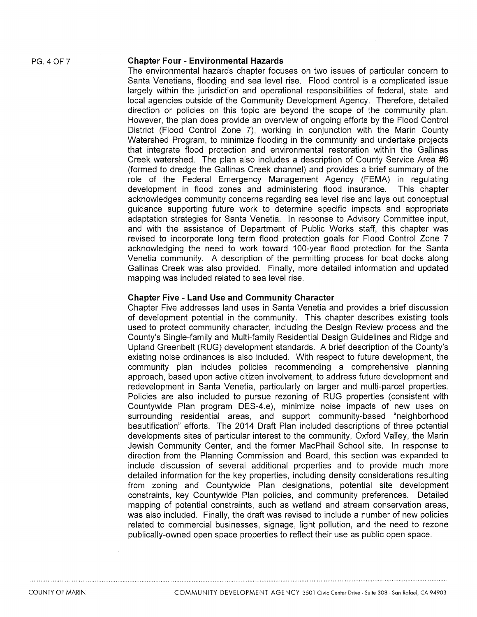#### **Chapter Four - Environmental Hazards**

The environmental hazards chapter focuses on two issues of particular concern to Santa Venetians, flooding and sea level rise. Flood control is a complicated issue largely within the jurisdiction and operational responsibilities of federal, state, and local agencies outside of the Community Development Agency. Therefore, detailed direction or policies on this topic are beyond the scope of the community plan. However, the plan does provide an overview of ongoing efforts by the Flood Control District (Flood Control Zone 7), working in conjunction with the Marin County Watershed Program, to minimize flooding in the community and undertake projects that integrate flood protection and environmental restoration within the Gallinas Creek watershed. The plan also includes a description of County Service Area #6 (formed to dredge the Gallinas Creek channel) and provides a brief summary of the role of the Federal Emergency Management Agency (FEMA) in regulating development in flood zones and administering flood insurance. This chapter acknowledges community concerns regarding sea level rise and lays out conceptual guidance supporting future work to determine specific impacts and appropriate adaptation strategies for Santa Venetia. In response to Advisory Committee input, and with the assistance of Department of Public Works staff, this chapter was revised to incorporate long term flood protection goals for Flood Control Zone 7 acknowledging the need to work toward 100-year flood protection for the Santa Venetia community. A description of the permitting process for boat docks along Gallinas Creek was also provided. Finally, more detailed information and updated mapping was included related to sea level rise.

### **Chapter Five - Land Use and Community Character**

Chapter Five addresses land uses in Santa Venetia and provides a brief discussion of development potential in the community. This chapter describes existing tools used to protect community character, including the Design Review process and the County's Single-family and Multi-family Residential Design Guidelines and Ridge and Upland Greenbelt (RUG) development standards. A brief description of the County's existing noise ordinances is also included. With respect to future development, the community plan includes policies recommending a comprehensive planning approach, based upon active citizen involvement, to address future development and redevelopment in Santa Venetia, particularly on larger and multi-parcel properties. Policies are also included to pursue rezoning of RUG properties (consistent with Countywide Plan program DES-4.e), minimize noise impacts of new uses on surrounding residential areas, and support community-based "neighborhood beautification" efforts. The 2014 Draft Plan included descriptions of three potential developments sites of particular interest to the community, Oxford Valley, the Marin Jewish Community Center, and the former MacPhail School site. In response to direction from the Planning Commission and Board, this section was expanded to include discussion of several additional properties and to provide much more detailed information for the key properties, including density considerations resulting from zoning and Countywide Plan designations, potential site development constraints, key Countywide Plan policies, and community preferences. Detailed mapping of potential constraints, such as wetland and stream conservation areas, was also included. Finally, the draft was revised to include a number of new policies related to commercial businesses, signage, light pollution, and the need to rezone publically-owned open space properties to reflect their use as public open space.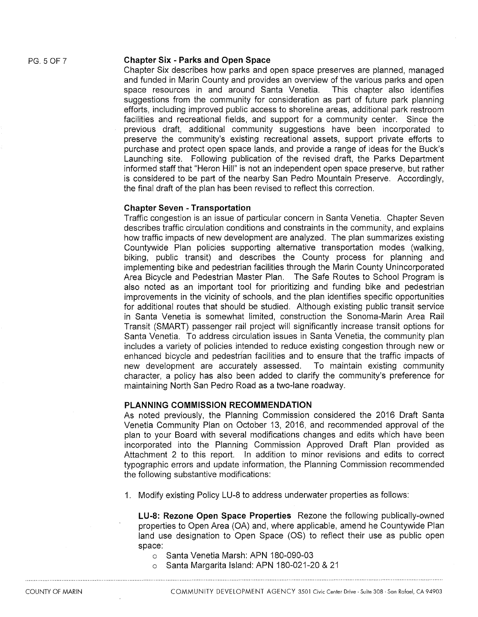### **Chapter Six - Parks and Open Space**

Chapter Six describes how parks and open space preserves are planned, managed and funded in Marin County and provides an overview of the various parks and open space resources in and around Santa Venetia. This chapter also identifies suggestions from the community for consideration as part of future park planning efforts, including improved public access to shoreline areas, additional park restroom facilities and recreational fields, and support for a community center. Since the previous draft, additional community suggestions have been incorporated to preserve the community's existing recreational assets, support private efforts to purchase and protect open space lands, and provide a range of ideas for the Buck's Launching site. Following publication of the revised draft, the Parks Department informed staff that "Heron Hill" is not an independent open space preserve, but rather is considered to be part of the nearby San Pedro Mountain Preserve. Accordingly, the final draft of the plan has been revised to reflect this correction.

### **Chapter Seven - Transportation**

Traffic congestion is an issue of particular concern in Santa Venetia. Chapter Seven describes traffic circulation conditions and constraints in the community, and explains how traffic impacts of new development are analyzed. The plan summarizes existing Countywide Plan policies supporting alternative transportation modes (walking, biking, public transit) and describes the County process for planning and implementing bike and pedestrian facilities through the Marin County Unincorporated Area Bicycle and Pedestrian Master Plan. The Safe Routes to School Program is also noted as an important tool for prioritizing and funding bike and pedestrian improvements in the vicinity of schools, and the plan identifies specific opportunities for additional routes that should be studied. Although existing public transit service in Santa Venetia is somewhat limited, construction the Sonoma-Marin Area Rail Transit (SMART) passenger rail project will significantly increase transit options for Santa Venetia. To address circulation issues in Santa Venetia, the community plan includes a variety of policies intended to reduce existing congestion through new or enhanced bicycle and pedestrian facilities and to ensure that the traffic impacts of new development are accurately assessed. To maintain existing community character, a policy has also been added to clarify the community's preference for maintaining North San Pedro Road as a two-lane roadway.

# **PLANNING COMMISSION RECOMMENDATION**

As noted previously, the Planning Commission considered the 2016 Draft Santa Venetia Community Plan on October 13, 2016, and recommended approval of the plan to your Board with several modifications changes and edits which have been incorporated into the Planning Commission Approved Draft Plan provided as Attachment 2 to this report. In addition to minor revisions and edits to correct typographic errors and update information, the Planning Commission recommended the following substantive modifications:

1. Modify existing Policy LU-8 to address underwater properties as follows:

**LU-8: Rezone Open Space Properties** Rezone the following publically-owned properties to Open Area (OA) and, where applicable, amend he Countywide Plan land use designation to Open Space (OS) to reflect their use as public open space:

- o Santa Venetia Marsh: APN 180-090-03
- o Santa Margarita Island: APN 180-021-20 & 21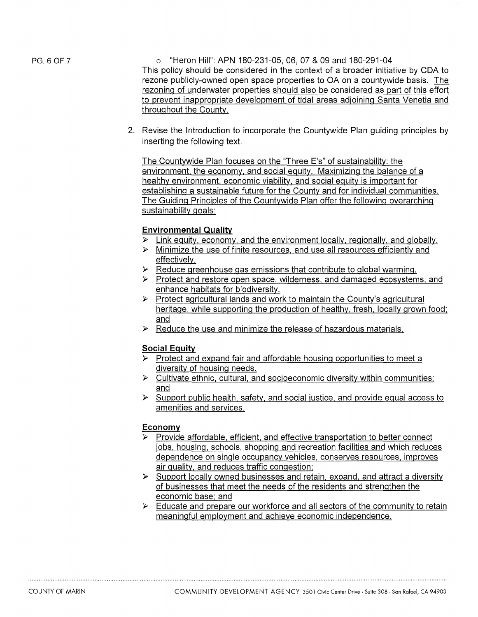PG. 6 OF 7

o "Heron Hill": APN 180-231-05, 06, 07 & 09 and 180-291-04 This policy should be considered in the context of a broader initiative by CDA to rezone publicly-owned open space properties to OA on a countywide basis. The rezoning of underwater properties should also be considered as part of this effort to prevent inappropriate development of tidal areas adjoining Santa Venetia and throughout the County.

2. Revise the Introduction to incorporate the Countywide Plan guiding principles by inserting the following text.

The Countywide Plan focuses on the "Three E's" of sustainability: the environment, the economy, and social equity. Maximizing the balance of a healthy environment, economic viability, and social equity is important for establishing a sustainable future for the County and for individual communities. The Guiding Principles of the Countywide Plan offer the following overarching sustainability goals:

# **Environmental Quality**

- $\triangleright$  Link equity, economy, and the environment locally, regionally, and globally.
- $\triangleright$  Minimize the use of finite resources, and use all resources efficiently and effectively.
- $\triangleright$  Reduce greenhouse gas emissions that contribute to global warming.
- ▶ Protect and restore open space, wilderness, and damaged ecosystems, and enhance habitats for biodiversity.
- $\triangleright$  Protect agricultural lands and work to maintain the County's agricultural heritage, while supporting the production of healthy, fresh, locally grown food; and
- $\triangleright$  Reduce the use and minimize the release of hazardous materials.

# **Social Equity**

- $\triangleright$  Protect and expand fair and affordable housing opportunities to meet a diversity of housing needs.
- $\triangleright$  Cultivate ethnic, cultural, and socioeconomic diversity within communities; and
- $\triangleright$  Support public health, safety, and social justice, and provide equal access to amenities and services.

# **Economy**

- $\triangleright$  Provide affordable, efficient, and effective transportation to better connect jobs, housing, schools, shopping and recreation facilities and which reduces dependence on single occupancy vehicles, conserves resources, improves air quality, and reduces traffic congestion;
- $\triangleright$  Support locally owned businesses and retain, expand, and attract a diversity of businesses that meet the needs of the residents and strengthen the economic base; and
- $\triangleright$  Educate and prepare our workforce and all sectors of the community to retain meaningful employment and achieve economic independence.